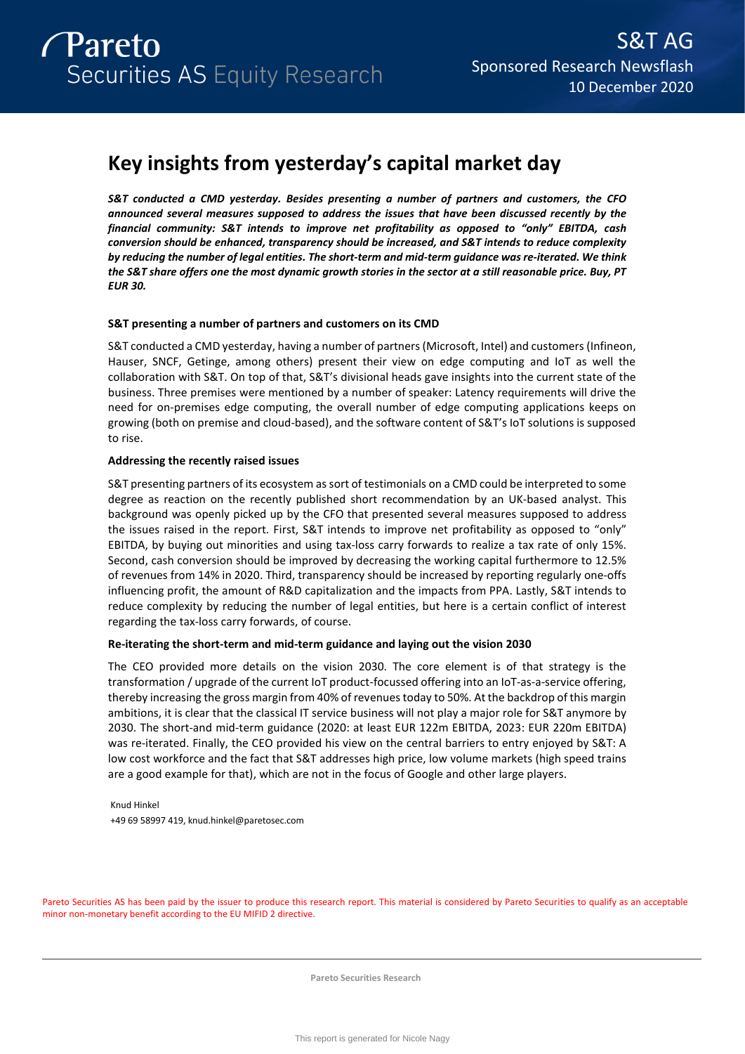# **Key insights from yesterday's capital market day**

*S&T conducted a CMD yesterday. Besides presenting a number of partners and customers, the CFO announced several measures supposed to address the issues that have been discussed recently by the financial community: S&T intends to improve net profitability as opposed to "only" EBITDA, cash conversion should be enhanced, transparency should be increased, and S&T intends to reduce complexity by reducing the number of legal entities. The short-term and mid-term guidance was re-iterated. We think the S&T share offers one the most dynamic growth stories in the sector at a still reasonable price. Buy, PT EUR 30.*

## **S&T presenting a number of partners and customers on its CMD**

S&T conducted a CMD yesterday, having a number of partners (Microsoft, Intel) and customers (Infineon, Hauser, SNCF, Getinge, among others) present their view on edge computing and IoT as well the collaboration with S&T. On top of that, S&T's divisional heads gave insights into the current state of the business. Three premises were mentioned by a number of speaker: Latency requirements will drive the need for on-premises edge computing, the overall number of edge computing applications keeps on growing (both on premise and cloud-based), and the software content of S&T's IoT solutions is supposed to rise.

## **Addressing the recently raised issues**

S&T presenting partners of its ecosystem as sort of testimonials on a CMD could be interpreted to some degree as reaction on the recently published short recommendation by an UK-based analyst. This background was openly picked up by the CFO that presented several measures supposed to address the issues raised in the report. First, S&T intends to improve net profitability as opposed to "only" EBITDA, by buying out minorities and using tax-loss carry forwards to realize a tax rate of only 15%. Second, cash conversion should be improved by decreasing the working capital furthermore to 12.5% of revenues from 14% in 2020. Third, transparency should be increased by reporting regularly one-offs influencing profit, the amount of R&D capitalization and the impacts from PPA. Lastly, S&T intends to reduce complexity by reducing the number of legal entities, but here is a certain conflict of interest regarding the tax-loss carry forwards, of course.

## **Re-iterating the short-term and mid-term guidance and laying out the vision 2030**

The CEO provided more details on the vision 2030. The core element is of that strategy is the transformation / upgrade of the current IoT product-focussed offering into an IoT-as-a-service offering, thereby increasing the gross margin from 40% of revenues today to 50%. At the backdrop of this margin ambitions, it is clear that the classical IT service business will not play a major role for S&T anymore by 2030. The short-and mid-term guidance (2020: at least EUR 122m EBITDA, 2023: EUR 220m EBITDA) was re-iterated. Finally, the CEO provided his view on the central barriers to entry enjoyed by S&T: A low cost workforce and the fact that S&T addresses high price, low volume markets (high speed trains are a good example for that), which are not in the focus of Google and other large players.

Knud Hinkel +49 69 58997 419, knud.hinkel@paretosec.com

Pareto Securities AS has been paid by the issuer to produce this research report. This material is considered by Pareto Securities to qualify as an acceptable minor non-monetary benefit according to the EU MIFID 2 directive.

**Pareto Securities Research**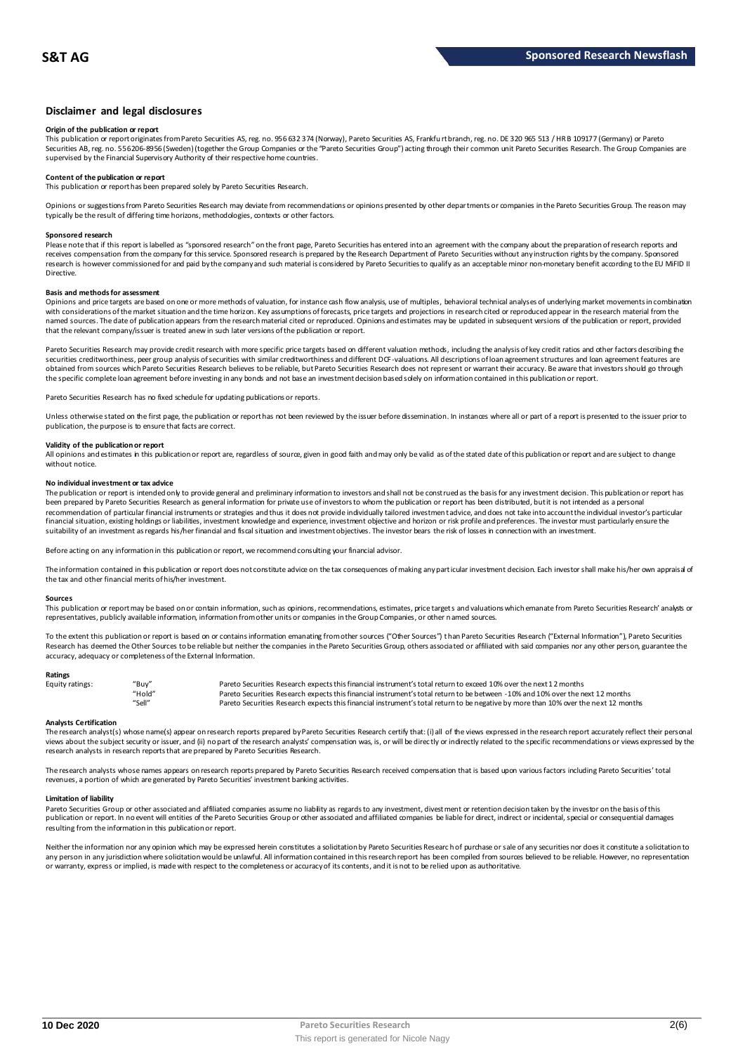### **Disclaimer and legal disclosures**

#### **Origin of the publication or report**

This publication or report originates from Pareto Securities AS, reg. no. 956 632 374 (Norway), Pareto Securities AS, Frankfu rt branch, reg. no. DE 320 965 513 / HR B 109177 (Germany) or Pareto Securities AB, reg. no. 556206-8956 (Sweden) (together the Group Companies or the "Pareto Securities Group") acting through their common unit Pareto Securities Research. The Group Companies are<br>supervised by the Financial

## **Content of the publication or report**

This publication or report has been prepared solely by Pareto Securities Research.

Opinions or suggestions from Pareto Securities Research may deviate from recommendations or opinions presented by other departments or companies in the Pareto Securities Group. The reason may typically be the result of differing time horizons, methodologies, contexts or other factors.

#### **Sponsored research**

Please note that if this report is labelled as "sponsored research" on the front page, Pareto Securities has entered into an agreement with the company about the preparation of research reports and<br>receives compensation fr research is however commissioned for and paid by the company and such material is considered by Pareto Securities to qualify as an acceptable minor non-monetary benefit according to the EU MiFID II Directive.

#### **Basis and methods for assessment**

Opinions and price targets are based on one or more methods of valuation, for instance cash flow analysis, use of multiples, behavioral technical analyses of underlying market movements in combination with considerations of the market situation and the time horizon. Key assumptions of forecasts, price targets and projections in research cited or reproduced appear in the research material from the named sources. The date of publication appears from the research material cited or reproduced. Opinions and estimates may be updated in subsequent versions of the publication or report, provided that the relevant company/issuer is treated anew in such later versions of the publication or report.

Pareto Securities Research may provide credit research with more specific price targets based on different valuation methods, including the analysis of key credit ratios and other factors describing the securities creditworthiness, peer group analysis of securities with similar creditworthiness and different DCF-valuations. All descriptions of loan agreement structures and loan agreement features are obtained from sources which Pareto Securities Research believes to be reliable, but Pareto Securities Research does not represent or warrant their accuracy. Be aware that investors should go through the specific complete loan agreement before investing in any bonds and not base an investment decision based solely on information contained in this publication or report.

Pareto Securities Research has no fixed schedule for updating publications or reports.

Unless otherwise stated on the first page, the publication or report has not been reviewed by the issuer before dissemination. In instances where all or part of a report is presented to the issuer prior to publication, the purpose is to ensure that facts are correct.

#### **Validity of the publication or report**

All opinions and estimates in this publication or report are, regardless of source, given in good faith and may only be valid as of the stated date of this publication or report and are subject to change without notice

#### **No individual investment or tax advice**

The publication or report is intended only to provide general and preliminary information to investors and shall not be construed as the basis for any investment decision. This publication or report has<br>been prepared by Pa recommendation of particular financial instruments or strategies and thus it does not provide individually tailored investmen t advice, and does not take into account the individual investor's particular financial situation, existing holdings or liabilities, investment knowledge and experience, investment objective and horizon or risk profile and preferences. The investor must particularly ensure the suitability of an investment as regards his/her financial and fiscal situation and investment objectives. The investor bears the risk of losses in connection with an investment.

Before acting on any information in this publication or report, we recommend consulting your financial advisor.

The information contained in this publication or report does not constitute advice on the tax consequences of making any particular investment decision. Each investor shall make his/her own appraisal of the tax and other financial merits of his/her investment.

#### **Sources**

This publication or report may be based on or contain information, such as opinions, recommendations, estimates, price targets and valuations which emanate from Pareto Securities Research' analysts or representatives, publicly available information, information from other units or companies in the Group Companies, or other named sources.

To the extent this publication or report is based on or contains information emanating from other sources ("Other Sources") than Pareto Securities Research ("External Information"), Pareto Securities Research has deemed the Other Sources to be reliable but neither the companies in the Pareto Securities Group, others associated or affiliated with said companies nor any other person, guarantee the accuracy, adequacy or completeness of the External Information.

#### **Ratings**

| Equity ratings: | "Buy"  | Pareto Securities Research expects this financial instrument's total return to exceed 10% over the next 12 months                   |
|-----------------|--------|-------------------------------------------------------------------------------------------------------------------------------------|
|                 | "Hold" | Pareto Securities Research expects this financial instrument's total return to be between -10% and 10% over the next 12 months      |
|                 | "Sell" | Pareto Securities Research expects this financial instrument's total return to be negative by more than 10% over the next 12 months |

**Analysts Certification**<br>The research analystis) whose name(s) appear on research reports prepared by Pareto Securities Research certify that: (i) all of the views expressed in the research report accurately reflect their "Hold"<br>Pareto Securities Research expects this financial instrument's total return to be between -10% and 10% over the next 12 months<br>Analysts Certification<br>The research analyst(s) whose name(s) appear on research reports research analysts in research reports that are prepared by Pareto Securities Research.

The research analysts whose names appears on research reports prepared by Pareto Securities Research received compensation that is based upon various factors including Pareto Securities' total revenues, a portion of which are generated by Pareto Securities' investment banking activities.

#### **Limitation of liability**

Pareto Securities Group or other associated and affiliated companies assume no liability as regards to any investment, divest ment or retention decision taken by the investor on the basis of this publication or report. In no event will entities of the Pareto Securities Group or other associated and affiliated companies be liable for direct, indirect or incidental, special or consequential damages resulting from the information in this publication or report.

Neither the information nor any opinion which may be expressed herein constitutes a solicitation by Pareto Securities Research of purchase or sale of any securities nor does it constitute a solicitation to any person in any jurisdiction where solicitation would be unlawful. All information contained in this research report has been compiled from sources believed to be reliable. However, no representation or warranty, express or implied, is made with respect to the completeness or accuracy of its contents, and it is not to be relied upon as authoritative.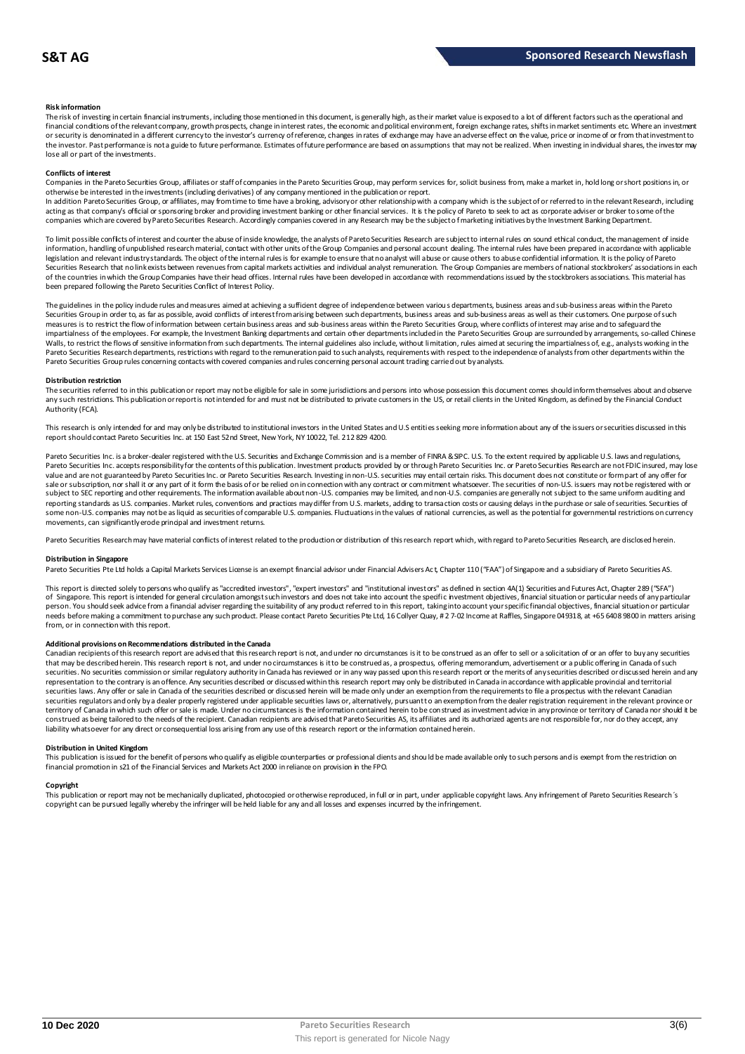#### **Risk information**

The risk of investing in certain financial instruments, including those mentioned in this document, is generally high, as their market value is exposed to a lot of different factors such as the operational and financial conditions of the relevant company, growth prospects, change in interest rates, the economic and political environment, foreign exchange rates, shifts in market sentiments etc. Where an investment or security is denominated in a different currency to the investor's currency of reference, changes in rates of exchange may have an adverse effect on the value, price or income of or from that investment to the investor. Past performance is not a guide to future performance. Estimates of future performance are based on assumptions that may not be realized. When investing in individual shares, the investor may lose all or part of the investments.

#### **Conflicts of interest**

Companies in the Pareto Securities Group, affiliates or staff of companies in the Pareto Securities Group, may perform services for, solicit business from, make a market in, hold long or short positions in, or otherwise be interested in the investments (including derivatives) of any company mentioned in the publication or report.<br>In addition Pareto Securities Group, or affiliates, may from time to time have a broking, advisory o

acting as that company's official or sponsoring broker and providing investment banking or other financial services. It is the policy of Pareto to seek to act as corporate adviser or broker to some of the companies which are covered by Pareto Securities Research. Accordingly companies covered in any Research may be the subject o f marketing initiatives by the Investment Banking Department.

To limit possible conflicts of interest and counter the abuse of inside knowledge, the analysts of Pareto Securities Research are subject to internal rules on sound ethical conduct, the management of inside information, handling of unpublished research material, contact with other units of the Group Companies and personal account dealing. The internal rules have been prepared in accordance with applicable legislation and relevant industry standards. The object of the internal rules is for example to ensure that no analyst will abuse or cause others to abuse confidential information. It is the policy of Pareto Securities Research that no link exists between revenues from capital markets activities and individual analyst remuneration. The Group Companies are members of national stockbrokers' associations in each of the countries in which the Group Companies have their head offices. Internal rules have been developed in accordance with recommendations issued by the stockbrokers associations. This material has been prepared following the Pareto Securities Conflict of Interest Policy.

The guidelines in the policy indude rules and measures aimed at achieving a sufficient degree of independence between various departments, business areas and sub-business areas within the Pareto Securities Group in order to, as far as possible, avoid conflicts of interest from arising between such departments, business areas and sub-business areas as well as their customers. One purpose of such measures is to restrict the flow of information between certain business areas and sub-business areas within the Pareto Securities Group, where conflicts of interest may arise and to safeguard the inpartialness of the empl The guidelines in the policy indude rules and measures aimed at achieving a sufficient degree of independence between various departments, business areas and sub-business areas within the Pareto<br>Securities Group in order t Pareto Securities Group rules concerning contacts with covered companies and rules concerning personal account trading carried out by analysts.

#### **Distribution restriction**

The securities referred to in this publication or report may not be eligible for sale in some jurisdictions and persons into whose possession this document comes should inform themselves about and observe Pareto Securities Group rules concerning contacts with covered companies and rules concerning personal account trading carried out by analysts.<br>Distribution restriction<br>The securities referred to in this publication or rep Authority (FCA).

This research is only intended for and may only be distributed to institutional investors in the United States and U.S entities seeking more information about any of the issuers or securities discussed in this report should contact Pareto Securities Inc. at 150 East 52nd Street, New York, NY 10022, Tel. 212 829 4200.

Pareto Securities Inc. is a broker-dealer registered with the U.S. Securities and Exchange Commission and is a member of FINRA & SIPC. U.S. To the extent required by applicable U.S. laws and regulations, Pareto Securities Inc. accepts responsibilityfor the contents of this publication. Investment products provided by or through Pareto Securities Inc. or Pareto Securities Research are not FDIC insured, may lose<br>value and ar sale or subscription, nor shall it or any part of it form the basis of or be relied on in connection with any contract or commitment whatsoever. The securities of non-U.S. issuers may not be registered with or subject to SEC reporting and other requirements. The information available about non-U.S. companies may be limited, and non-U.S. companies are generally not subject to the same unifom auditing and<br>reporting standards as U some non-U.S. companies may not be as liquid as securities of comparable U.S. companies. Fluctuations in the values of national currencies, as well as the potential for governmental restrictions on currency movements, can significantly erode principal and investment returns.

Pareto Securities Research may have material conflicts of interest related to the production or distribution of this research report which, with regard to Pareto Securities Research, are disclosed herein.

#### **Distribution in Singapore**

Pareto Securities Pte Ltd holds a Capital Markets Services License is an exempt financial advisor under Financial Advisers Ac t, Chapter 110 ("FAA") of Singapore and a subsidiary of Pareto Securities AS.

This report is directed solely to persons who qualify as "accredited investors", "expert investors" and "institutional investors" as defined in section 4A(1) Securities and Futures Act, Chapter 289 ("SFA") **Distribution in Singapore**<br>Pareto Securities Pte Ltd holds a Capital Markets Services License is an exempt financial advisor under Financial Advisers Act, Chapter 110 ("FAA") of Singapore and a subsidiary of Pareto Securi person. You should seek advice from a financial adviser regarding the suitability of any product referred to in this report, taking into account your specific financial objectives, financial situation or particular needs before making a commitment to purchase any such product. Please contact Pareto Securities Pte Ltd, 16 Collyer Quay, # 2 7-02 Income at Raffles, Singapore 049318, at +65 6408 9800 in matters arising<br>from, or in connec needs before making a commitment to purchase any such product. Please contact Pareto Securities Pte Ltd, 16 Collyer Quay, # 2 7-02 Income at Raffles, Singapore 049318, at +65 6408 9800 in matters arisin<br>from, or in connect

#### **Additional provisions on Recommendations distributed in the Canada**

That may be described herein. This research report are advised that this research report is not, and under no circumstances is it to be construed as an offer to sell or a solicitation of or an offer to buy any securities<br>t securities. No securities commission or similar regulatory authority in Canada has reviewed or in any way passed upon this research report or the merits of any securities described or discussed herein and any representation to the contrary is an offence. Any securities described or discussed within this research report may only be distributed in Canada in accordance with applicable provincial and territorial securities laws. Any offer or sale in Canada of the securities described or discussed herein will be made only under an exemption from the requirements to file a prospectus with the relevant Canadian securities regulators and only bya dealer properly registered under applicable securities laws or, alternatively, pursuant to an exemption from the dealer registration requirement in the relevant province or<br>territory of C construed as being tailored to the needs of the recipient. Canadian recipients are advised that Pareto Securities AS, its affiliates and its authorized agents are not responsible for, nor do they accept, any liability whatsoever for any direct or consequential loss arising from any use of this research report or the information contained herein.

#### **Distribution in United Kingdom**

financial promotion in s21 of the Financial Services and Markets Act 2000 in reliance on provision in the FPO.

This publication is issued for the benefit of persons who qualify as eligible counterparties or professional dients and should be made available only to such persons and is exempt from the restriction on<br>financial promotio **Copyright**<br>This publication or report may not be mechanically duplicated, photomoied or otherwise reproduced, in full or in part, under annlicable copyright laws. Any infringement of Pareto Sequities Research's copyright can be pursued legally whereby the infringer will be held liable for any and all losses and expenses incurred by the infringement.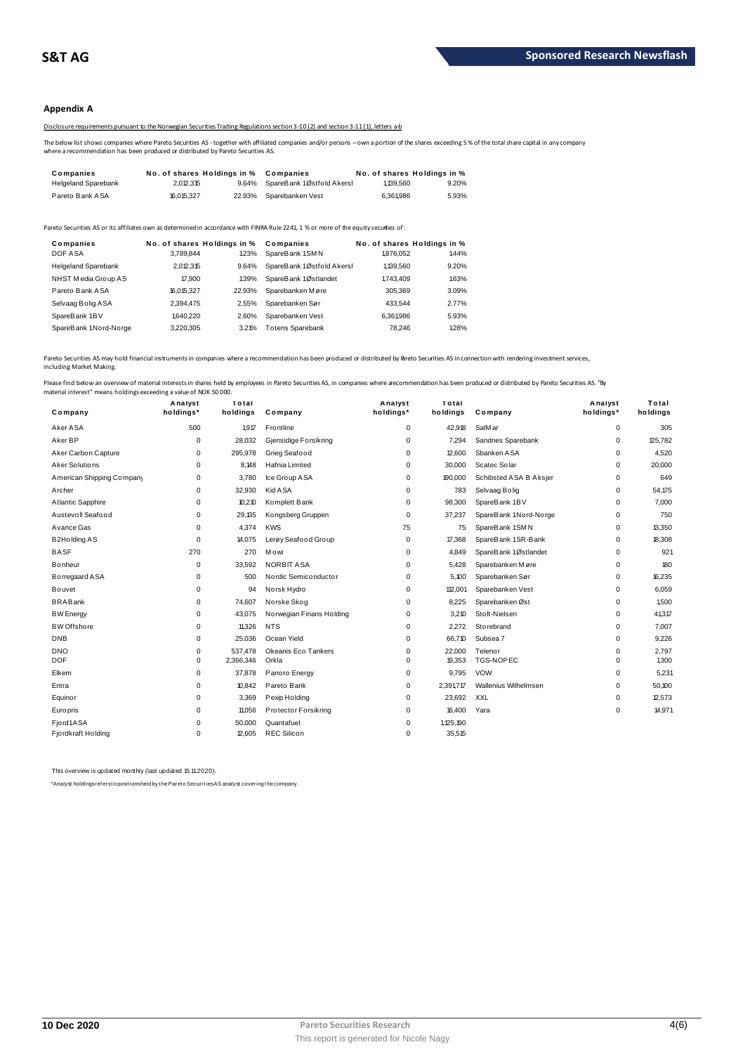### **Appendix A**

Disclosure requirements pursuant to the Norwegian Securities Trading Regulations section 3-10 (2) and section 3-11 (1), letters a-b

The below list shows companies where Pareto Securities AS - together with affiliated companies and/or persons – own a portion of the shares exceeding 5 % of the total share capital in any company<br>where a recommendation has

| The below list shows companies where Pareto Securities AS - together with affiliated companies and/or persons - own a portion of the shares exceeding 5<br>where a recommendation has been produced or distributed by Pareto Securities AS. |       |
|---------------------------------------------------------------------------------------------------------------------------------------------------------------------------------------------------------------------------------------------|-------|
|                                                                                                                                                                                                                                             |       |
| No. of shares Holdings in %<br>No. of shares Holdings in %<br>Companies<br>Companies                                                                                                                                                        |       |
| <b>Helgeland Sparebank</b><br>SpareBank 1Østfold Akersl<br>2.012.315<br>1,139,560<br>9.64%                                                                                                                                                  | 9.20% |

| <b>I GIGIU DAIIN AUA</b>   | 10.V N.V.LI | 22.JJ 70                             | <b>UVAIGVAIINGII V GOL</b>                                                                                                          | <b>U.UU I.JUU</b> | <u>J.JJ70</u>                        |
|----------------------------|-------------|--------------------------------------|-------------------------------------------------------------------------------------------------------------------------------------|-------------------|--------------------------------------|
|                            |             |                                      | areto Securities AS or its affiliates own as determined in accordance with FINRA Rule 2241, 1 % or more of the equity securties of: |                   |                                      |
| Companies<br>DOF ASA       | 3.789.844   | No. of shares Holdings in %<br>1.23% | Companies<br>SpareBank 1SMN                                                                                                         | 1.876.052         | No. of shares Holdings in %<br>1.44% |
| <b>Helgeland Sparebank</b> | 2.012.315   | 9.64%                                | SpareBank 1Østfold Akersl                                                                                                           | 1,139,560         | 9.20%                                |
| NHST Media Group AS        | 17,900      | 139%                                 | SpareBank 1Østlandet                                                                                                                | 1.743.409         | 1.63%                                |
| Pareto Bank ASA            | 16.015.327  | 22.93%                               | Sparebanken Møre                                                                                                                    | 305.369           | 3.09%                                |
| Selvaag Bolig ASA          | 2,394,475   | 2.55%                                | Sparebanken Sør                                                                                                                     | 433.544           | 2.77%                                |
| SpareBank 1BV              | 1,640.220   | 2.60%                                | Sparebanken Vest                                                                                                                    | 6.361.986         | 5.93%                                |
| SpareBank 1Nord-Norge      | 3.220.305   | 3.21%                                | <b>Totens Sparebank</b>                                                                                                             | 78.246            | 1.28%                                |
|                            |             |                                      |                                                                                                                                     |                   |                                      |

Pareto Securities AS may hold financial instruments in companies where a recommendation has been produced or distributed by Breto Securities AS in connection with rendering investment services, including Market Making.

| Company                   | Analyst<br>holdings* | Total<br>holdings | Company                  | Analyst<br>holdings* | Total<br>holdings | Company                | Analyst<br>holdings* | Total<br>holdings |
|---------------------------|----------------------|-------------------|--------------------------|----------------------|-------------------|------------------------|----------------------|-------------------|
| Aker ASA                  | 500                  | 1,917             | Frontline                | 0                    | 42,918            | SalMar                 | 0                    | 305               |
| Aker BP                   | $\mathbf 0$          | 28,032            | Gjensidige Forsikring    | $\mathbf 0$          | 7,294             | Sandnes Sparebank      | 0                    | 125,782           |
| Aker Carbon Capture       | $\mathbf 0$          | 295,978           | Grieg Seafood            | $\mathbf 0$          | 12,600            | Sbanken ASA            | 0                    | 4,520             |
| Aker Solutions            | $\mathbf 0$          | 8.148             | Hafnia Limited           | $\Omega$             | 30,000            | Scatec Solar           | 0                    | 20,000            |
| American Shipping Company | 0                    | 3.780             | Ice Group ASA            | $\Omega$             | 190,000           | Schibsted ASA B Aksjer | 0                    | 649               |
| Archer                    | 0                    | 32.930            | Kid A SA                 | 0                    | 783               | Selvaag Bolig          | 0                    | 54,175            |
| Atlantic Sapphire         | 0                    | 10.210            | Komplett Bank            | 0                    | 98,300            | SpareBank 1BV          | 0                    | 7.000             |
| Austevoll Seafood         | $\mathbf 0$          | 29,135            | Kongsberg Gruppen        | $\mathbf 0$          | 37,237            | SpareBank 1Nord-Norge  | 0                    | 750               |
| Avance Gas                | $\mathbf 0$          | 4.374             | <b>KWS</b>               | 75                   | 75                | SpareBank 1SMN         | 0                    | 13,350            |
| <b>B2Holding AS</b>       | $\mathbf 0$          | 14.075            | Lerøy Seafood Group      | 0                    | 17,368            | SpareBank 1SR-Bank     | 0                    | 18,308            |
| <b>BASF</b>               | 270                  | 270               | Mowi                     | $\mathbf 0$          | 4,849             | SpareBank 1Østlandet   | 0                    | 921               |
| <b>Bonheur</b>            | 0                    | 33.592            | <b>NORBIT ASA</b>        | 0                    | 5.428             | Sparebanken Møre       | 0                    | 180               |
| Borregaard ASA            | $\mathbf 0$          | 500               | Nordic Semiconductor     | $\mathbf 0$          | 5,100             | Sparebanken Sør        | 0                    | 16,235            |
| Bouvet                    | $\mathbf 0$          | 94                | Norsk Hydro              | $\Omega$             | 112,001           | Sparebanken Vest       | 0                    | 6,059             |
| <b>BRABank</b>            | 0                    | 74.607            | Norske Skog              | $\mathbf 0$          | 8.225             | Sparebanken Øst        | 0                    | 1.500             |
| <b>BW</b> Energy          | 0                    | 43.075            | Norwegian Finans Holding | $\mathbf 0$          | 3.210             | Stolt-Nielsen          | 0                    | 41,317            |
| <b>BW</b> Offshore        | $\mathbf 0$          | 11,326            | <b>NTS</b>               | $\Omega$             | 2,272             | Storebrand             | 0                    | 7,007             |
| <b>DNB</b>                | $\mathbf 0$          | 25,036            | Ocean Yield              | $\Omega$             | 66,710            | Subsea 7               | 0                    | 9,226             |
| <b>DNO</b>                | $\mathbf 0$          | 537,478           | Okeanis Eco Tankers      | $\mathbf 0$          | 22,000            | Telenor                | 0                    | 2,797             |
| <b>DOF</b>                | 0                    | 2,366,346         | Orkla                    | $\Omega$             | 19,353            | TGS-NOPEC              | 0                    | 1,300             |
| Elkem                     | 0                    | 37,878            | Panoro Energy            | 0                    | 9.795             | <b>VOW</b>             | 0                    | 5,231             |
| Entra                     | 0                    | 10.842            | Pareto Bank              | 0                    | 2,391,717         | Wallenius Wilhelmsen   | 0                    | 50,100            |
| Equinor                   | 0                    | 3.369             | Pexip Holding            | $\mathbf 0$          | 23,692            | XXL                    | 0                    | 12,573            |
| Europris                  | $\mathbf 0$          | 11,056            | Protector Forsikring     | $\mathbf 0$          | 16,400            | Yara                   | 0                    | 14,971            |
| Fjord1ASA                 | $\mathbf 0$          | 50,000            | Quantafuel               | $\Omega$             | 1,125,190         |                        |                      |                   |
| Fjordkraft Holding        | $\mathbf 0$          | 12.605            | <b>REC Silicon</b>       | $\Omega$             | 35,515            |                        |                      |                   |

This overview is updated monthly (last updated 15.11.2020).

\*Analyst holdings ref ers t o posit ions held by t he Paret o Securit ies AS analyst covering t he company.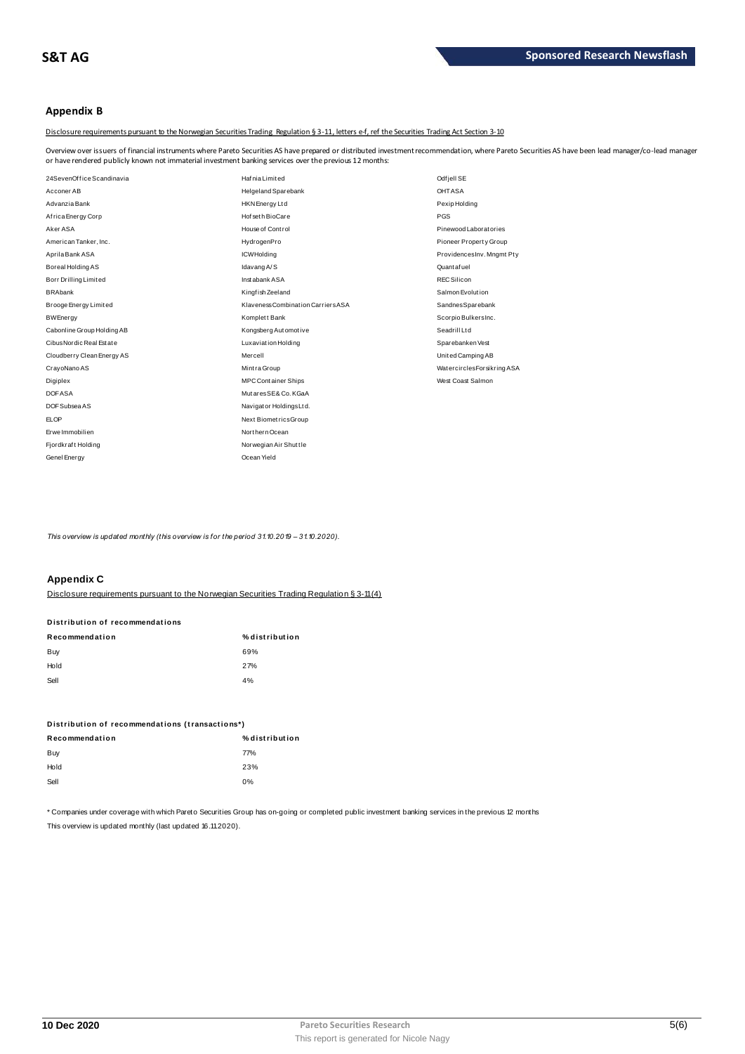## Appendix B

Disclosure requirements pursuant to the Norwegian Securities Trading Regulation § 3-11, letters e-f, ref the Securities Trading Act Section 3-10

Overview over issuers of financial instruments where Pareto Securities AS have prepared or distributed investment recommendation, where Pareto Securities AS have been lead manager/co-lead manager or have rendered publicly known not immaterial investment banking services over the previous 12 months:

| 24SevenOffice Scandinavia  | Hafnia Limited                     | Odf jell SE                 |
|----------------------------|------------------------------------|-----------------------------|
| Acconer AB                 | Helgeland Sparebank                | <b>OHTASA</b>               |
| Advanzia Bank              | HKN Energy Ltd                     | Pexip Holding               |
| Africa Energy Corp         | Hof seth BioCare                   | PGS                         |
| Aker ASA                   | House of Control                   | Pinewood Laborat ories      |
| American Tanker, Inc.      | HydrogenPro                        | Pioneer Property Group      |
| Aprila Bank ASA            | <b>ICWHolding</b>                  | ProvidencesInv. Mngmt Pty   |
| Boreal Holding AS          | Idavang A/S                        | Quantafuel                  |
| Borr Drilling Limited      | Instabank ASA                      | <b>REC Silicon</b>          |
| <b>BRAbank</b>             | Kingfish Zeeland                   | Salmon Evolution            |
| Brooge Energy Limited      | Klaveness Combination Carriers ASA | SandnesSparebank            |
| <b>BWEnergy</b>            | Komplett Bank                      | Scorpio BulkersInc.         |
| Cabonline Group Holding AB | Kongsberg Automotive               | Seadrill Ltd                |
| Cibus Nordic Real Estate   | <b>Luxaviation Holding</b>         | Sparebanken Vest            |
| Cloudberry Clean Energy AS | Mercell                            | United Camping AB           |
| CrayoNano AS               | Mint ra Group                      | Watercircles Forsikring ASA |
| Digiplex                   | <b>MPC Container Ships</b>         | West Coast Salmon           |
| <b>DOFASA</b>              | MutaresSE& Co. KGaA                |                             |
| DOF Subsea AS              | Navigator Holdings Ltd.            |                             |
| <b>ELOP</b>                | Next BiometricsGroup               |                             |
| Erwe Immobilien            | Northern Ocean                     |                             |
| Fjordkraft Holding         | Norwegian Air Shuttle              |                             |
| Genel Energy               | Ocean Yield                        |                             |

This overview is updated monthly (this overview is for the period 31.10.2019 - 31.10.2020).

## **Appendix C**

Disclosure requirements pursuant to the Norwegian Securities Trading Requiation § 3-11(4)

| Distribution of recommendations |                |  |  |  |
|---------------------------------|----------------|--|--|--|
| Recommendation                  | % distribution |  |  |  |
| Buy                             | 69%            |  |  |  |
| Hold                            | 27%            |  |  |  |
| Sell                            | 4%             |  |  |  |

| Distribution of recommendations (transactions*) |                |  |  |
|-------------------------------------------------|----------------|--|--|
| Recommendation                                  | % distribution |  |  |
| Buy                                             | 77%            |  |  |
| Hold                                            | 23%            |  |  |
| Sell                                            | 0%             |  |  |

\* Companies under coverage with which Pareto Securities Group has on-going or completed public investment banking services in the previous 12 months This overview is updated monthly (last updated 16.11.2020).